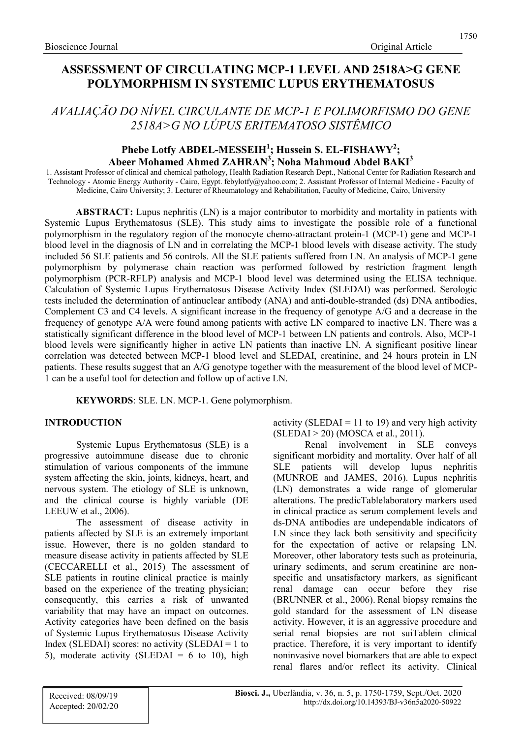# ASSESSMENT OF CIRCULATING MCP-1 LEVEL AND 2518A>G GENE POLYMORPHISM IN SYSTEMIC LUPUS ERYTHEMATOSUS

# AVALIAÇÃO DO NÍVEL CIRCULANTE DE MCP-1 E POLIMORFISMO DO GENE 2518A>G NO LÚPUS ERITEMATOSO SISTÊMICO

# Phebe Lotfy ABDEL-MESSEIH<sup>1</sup>; Hussein S. EL-FISHAWY<sup>2</sup>; Abeer Mohamed Ahmed  $\text{ZAHRAN}^3$ ; Noha Mahmoud Abdel BAKI<sup>3</sup>

1. Assistant Professor of clinical and chemical pathology, Health Radiation Research Dept., National Center for Radiation Research and Technology - Atomic Energy Authority - Cairo, Egypt. febylotfy@yahoo.com; 2. Assistant Professor of Internal Medicine - Faculty of Medicine, Cairo University; 3. Lecturer of Rheumatology and Rehabilitation, Faculty of Medicine, Cairo, University

ABSTRACT: Lupus nephritis (LN) is a major contributor to morbidity and mortality in patients with Systemic Lupus Erythematosus (SLE). This study aims to investigate the possible role of a functional polymorphism in the regulatory region of the monocyte chemo-attractant protein-1 (MCP-1) gene and MCP-1 blood level in the diagnosis of LN and in correlating the MCP-1 blood levels with disease activity. The study included 56 SLE patients and 56 controls. All the SLE patients suffered from LN. An analysis of MCP-1 gene polymorphism by polymerase chain reaction was performed followed by restriction fragment length polymorphism (PCR-RFLP) analysis and MCP-1 blood level was determined using the ELISA technique. Calculation of Systemic Lupus Erythematosus Disease Activity Index (SLEDAI) was performed. Serologic tests included the determination of antinuclear antibody (ANA) and anti-double-stranded (ds) DNA antibodies, Complement C3 and C4 levels. A significant increase in the frequency of genotype A/G and a decrease in the frequency of genotype A/A were found among patients with active LN compared to inactive LN. There was a statistically significant difference in the blood level of MCP-1 between LN patients and controls. Also, MCP-1 blood levels were significantly higher in active LN patients than inactive LN. A significant positive linear correlation was detected between MCP-1 blood level and SLEDAI, creatinine, and 24 hours protein in LN patients. These results suggest that an A/G genotype together with the measurement of the blood level of MCP-1 can be a useful tool for detection and follow up of active LN.

KEYWORDS: SLE. LN. MCP-1. Gene polymorphism.

## INTRODUCTION

Systemic Lupus Erythematosus (SLE) is a progressive autoimmune disease due to chronic stimulation of various components of the immune system affecting the skin, joints, kidneys, heart, and nervous system. The etiology of SLE is unknown, and the clinical course is highly variable (DE LEEUW et al., 2006).

The assessment of disease activity in patients affected by SLE is an extremely important issue. However, there is no golden standard to measure disease activity in patients affected by SLE (CECCARELLI et al., 2015). The assessment of SLE patients in routine clinical practice is mainly based on the experience of the treating physician; consequently, this carries a risk of unwanted variability that may have an impact on outcomes. Activity categories have been defined on the basis of Systemic Lupus Erythematosus Disease Activity Index (SLEDAI) scores: no activity (SLEDAI = 1 to 5), moderate activity (SLEDAI =  $6$  to 10), high activity (SLEDAI = 11 to 19) and very high activity (SLEDAI > 20) (MOSCA et al., 2011).

Renal involvement in SLE conveys significant morbidity and mortality. Over half of all SLE patients will develop lupus nephritis (MUNROE and JAMES, 2016). Lupus nephritis (LN) demonstrates a wide range of glomerular alterations. The predicTablelaboratory markers used in clinical practice as serum complement levels and ds-DNA antibodies are undependable indicators of LN since they lack both sensitivity and specificity for the expectation of active or relapsing LN. Moreover, other laboratory tests such as proteinuria, urinary sediments, and serum creatinine are nonspecific and unsatisfactory markers, as significant renal damage can occur before they rise (BRUNNER et al., 2006). Renal biopsy remains the gold standard for the assessment of LN disease activity. However, it is an aggressive procedure and serial renal biopsies are not suiTablein clinical practice. Therefore, it is very important to identify noninvasive novel biomarkers that are able to expect renal flares and/or reflect its activity. Clinical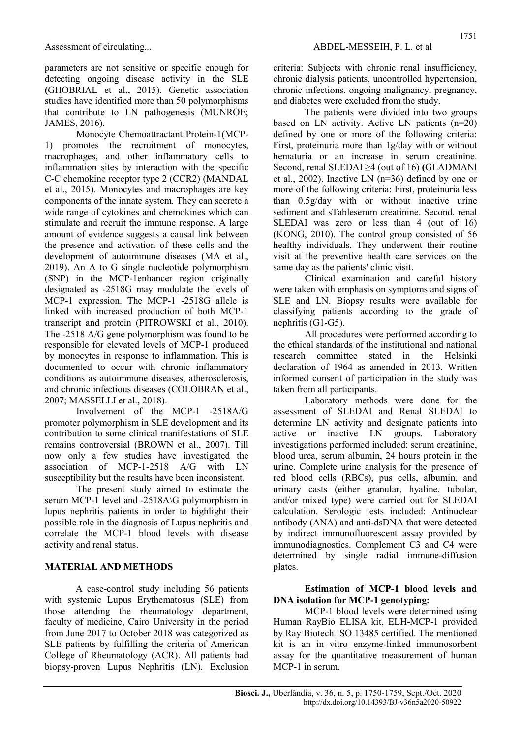parameters are not sensitive or specific enough for detecting ongoing disease activity in the SLE (GHOBRIAL et al., 2015). Genetic association studies have identified more than 50 polymorphisms that contribute to LN pathogenesis (MUNROE; JAMES, 2016).

Monocyte Chemoattractant Protein-1(MCP-1) promotes the recruitment of monocytes, macrophages, and other inflammatory cells to inflammation sites by interaction with the specific C-C chemokine receptor type 2 (CCR2) (MANDAL et al., 2015). Monocytes and macrophages are key components of the innate system. They can secrete a wide range of cytokines and chemokines which can stimulate and recruit the immune response. A large amount of evidence suggests a causal link between the presence and activation of these cells and the development of autoimmune diseases (MA et al., 2019). An A to G single nucleotide polymorphism (SNP) in the MCP-1enhancer region originally designated as -2518G may modulate the levels of MCP-1 expression. The MCP-1 -2518G allele is linked with increased production of both MCP-1 transcript and protein (PITROWSKI et al., 2010). The -2518 A/G gene polymorphism was found to be responsible for elevated levels of MCP-1 produced by monocytes in response to inflammation. This is documented to occur with chronic inflammatory conditions as autoimmune diseases, atherosclerosis, and chronic infectious diseases (COLOBRAN et al., 2007; MASSELLI et al., 2018).

Involvement of the MCP-1 -2518A/G promoter polymorphism in SLE development and its contribution to some clinical manifestations of SLE remains controversial (BROWN et al., 2007). Till now only a few studies have investigated the association of MCP-1-2518 A/G with LN susceptibility but the results have been inconsistent.

The present study aimed to estimate the serum MCP-1 level and -2518A\G polymorphism in lupus nephritis patients in order to highlight their possible role in the diagnosis of Lupus nephritis and correlate the MCP-1 blood levels with disease activity and renal status.

## MATERIAL AND METHODS

A case-control study including 56 patients with systemic Lupus Erythematosus (SLE) from those attending the rheumatology department, faculty of medicine, Cairo University in the period from June 2017 to October 2018 was categorized as SLE patients by fulfilling the criteria of American College of Rheumatology (ACR). All patients had biopsy-proven Lupus Nephritis (LN). Exclusion criteria: Subjects with chronic renal insufficiency, chronic dialysis patients, uncontrolled hypertension, chronic infections, ongoing malignancy, pregnancy, and diabetes were excluded from the study.

The patients were divided into two groups based on LN activity. Active LN patients (n=20) defined by one or more of the following criteria: First, proteinuria more than 1g/day with or without hematuria or an increase in serum creatinine. Second, renal SLEDAI ≥4 (out of 16) (GLADMANI et al., 2002). Inactive LN (n=36) defined by one or more of the following criteria: First, proteinuria less than 0.5g/day with or without inactive urine sediment and sTableserum creatinine. Second, renal SLEDAI was zero or less than 4 (out of 16) (KONG, 2010). The control group consisted of 56 healthy individuals. They underwent their routine visit at the preventive health care services on the same day as the patients' clinic visit.

Clinical examination and careful history were taken with emphasis on symptoms and signs of SLE and LN. Biopsy results were available for classifying patients according to the grade of nephritis (G1-G5).

All procedures were performed according to the ethical standards of the institutional and national research committee stated in the Helsinki declaration of 1964 as amended in 2013. Written informed consent of participation in the study was taken from all participants.

Laboratory methods were done for the assessment of SLEDAI and Renal SLEDAI to determine LN activity and designate patients into active or inactive LN groups. Laboratory investigations performed included: serum creatinine, blood urea, serum albumin, 24 hours protein in the urine. Complete urine analysis for the presence of red blood cells (RBCs), pus cells, albumin, and urinary casts (either granular, hyaline, tubular, and/or mixed type) were carried out for SLEDAI calculation. Serologic tests included: Antinuclear antibody (ANA) and anti-dsDNA that were detected by indirect immunofluorescent assay provided by immunodiagnostics. Complement C3 and C4 were determined by single radial immune-diffusion plates.

#### Estimation of MCP-1 blood levels and DNA isolation for MCP-1 genotyping:

MCP-1 blood levels were determined using Human RayBio ELISA kit, ELH-MCP-1 provided by Ray Biotech ISO 13485 certified. The mentioned kit is an in vitro enzyme-linked immunosorbent assay for the quantitative measurement of human MCP-1 in serum.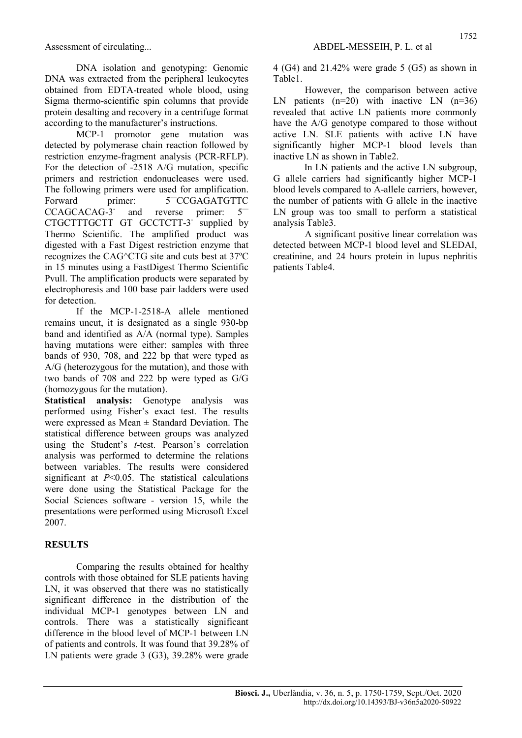DNA isolation and genotyping: Genomic DNA was extracted from the peripheral leukocytes obtained from EDTA-treated whole blood, using Sigma thermo-scientific spin columns that provide protein desalting and recovery in a centrifuge format according to the manufacturer's instructions.

MCP-1 promotor gene mutation was detected by polymerase chain reaction followed by restriction enzyme-fragment analysis (PCR-RFLP). For the detection of -2518 A/G mutation, specific primers and restriction endonucleases were used. The following primers were used for amplification. Forward primer: 5<sup>-</sup>CCGAGATGTTC CCAGCACAG-3 and reverse primer: 5— CTGCTTTGCTT GT GCCTCTT-3<sup>-</sup> supplied by Thermo Scientific. The amplified product was digested with a Fast Digest restriction enzyme that recognizes the CAG^CTG site and cuts best at 37ºC in 15 minutes using a FastDigest Thermo Scientific Pvull. The amplification products were separated by electrophoresis and 100 base pair ladders were used for detection.

If the MCP-1-2518-A allele mentioned remains uncut, it is designated as a single 930-bp band and identified as A/A (normal type). Samples having mutations were either: samples with three bands of 930, 708, and 222 bp that were typed as A/G (heterozygous for the mutation), and those with two bands of 708 and 222 bp were typed as G/G (homozygous for the mutation).

Statistical analysis: Genotype analysis was performed using Fisher's exact test. The results were expressed as Mean  $\pm$  Standard Deviation. The statistical difference between groups was analyzed using the Student's t-test. Pearson's correlation analysis was performed to determine the relations between variables. The results were considered significant at  $P<0.05$ . The statistical calculations were done using the Statistical Package for the Social Sciences software - version 15, while the presentations were performed using Microsoft Excel 2007.

## **RESULTS**

Comparing the results obtained for healthy controls with those obtained for SLE patients having LN, it was observed that there was no statistically significant difference in the distribution of the individual MCP-1 genotypes between LN and controls. There was a statistically significant difference in the blood level of MCP-1 between LN of patients and controls. It was found that 39.28% of LN patients were grade 3 (G3), 39.28% were grade 4 (G4) and 21.42% were grade 5 (G5) as shown in Table1.

However, the comparison between active LN patients  $(n=20)$  with inactive LN  $(n=36)$ revealed that active LN patients more commonly have the A/G genotype compared to those without active LN. SLE patients with active LN have significantly higher MCP-1 blood levels than inactive LN as shown in Table2.

In LN patients and the active LN subgroup, G allele carriers had significantly higher MCP-1 blood levels compared to A-allele carriers, however, the number of patients with G allele in the inactive LN group was too small to perform a statistical analysis Table3.

A significant positive linear correlation was detected between MCP-1 blood level and SLEDAI, creatinine, and 24 hours protein in lupus nephritis patients Table4.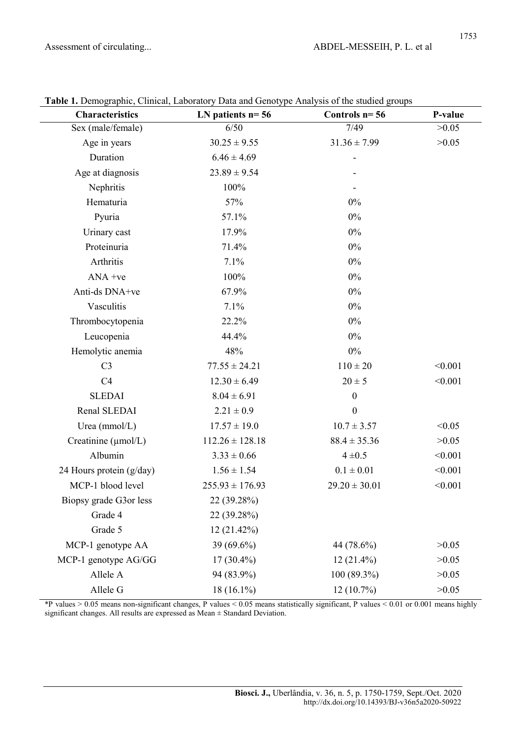| <b>Characteristics</b>   | LN patients $n=56$  | Controls $n=56$   | P-value |
|--------------------------|---------------------|-------------------|---------|
| Sex (male/female)        | 6/50                | 7/49              | >0.05   |
| Age in years             | $30.25 \pm 9.55$    | $31.36 \pm 7.99$  | >0.05   |
| Duration                 | $6.46 \pm 4.69$     |                   |         |
| Age at diagnosis         | $23.89 \pm 9.54$    |                   |         |
| Nephritis                | 100%                |                   |         |
| Hematuria                | 57%                 | $0\%$             |         |
| Pyuria                   | 57.1%               | $0\%$             |         |
| Urinary cast             | 17.9%               | $0\%$             |         |
| Proteinuria              | 71.4%               | $0\%$             |         |
| Arthritis                | 7.1%                | $0\%$             |         |
| $ANA +ve$                | 100%                | $0\%$             |         |
| Anti-ds DNA+ve           | 67.9%               | $0\%$             |         |
| Vasculitis               | 7.1%                | $0\%$             |         |
| Thrombocytopenia         | 22.2%               | $0\%$             |         |
| Leucopenia               | 44.4%               | $0\%$             |         |
| Hemolytic anemia         | 48%                 | $0\%$             |         |
| C <sub>3</sub>           | $77.55 \pm 24.21$   | $110 \pm 20$      | < 0.001 |
| C4                       | $12.30 \pm 6.49$    | $20 \pm 5$        | < 0.001 |
| <b>SLEDAI</b>            | $8.04 \pm 6.91$     | $\boldsymbol{0}$  |         |
| Renal SLEDAI             | $2.21 \pm 0.9$      | $\boldsymbol{0}$  |         |
| Urea $(mmol/L)$          | $17.57 \pm 19.0$    | $10.7 \pm 3.57$   | < 0.05  |
| Creatinine (µmol/L)      | $112.26 \pm 128.18$ | $88.4 \pm 35.36$  | >0.05   |
| Albumin                  | $3.33 \pm 0.66$     | $4 \pm 0.5$       | < 0.001 |
| 24 Hours protein (g/day) | $1.56 \pm 1.54$     | $0.1 \pm 0.01$    | < 0.001 |
| MCP-1 blood level        | $255.93 \pm 176.93$ | $29.20 \pm 30.01$ | < 0.001 |
| Biopsy grade G3or less   | 22 (39.28%)         |                   |         |
| Grade 4                  | 22 (39.28%)         |                   |         |
| Grade 5                  | 12 (21.42%)         |                   |         |
| MCP-1 genotype AA        | 39 (69.6%)          | 44 (78.6%)        | >0.05   |
| MCP-1 genotype AG/GG     | $17(30.4\%)$        | $12(21.4\%)$      | >0.05   |
| Allele A                 | 94 (83.9%)          | $100(89.3\%)$     | >0.05   |
| Allele G                 | 18 (16.1%)          | 12(10.7%)         | >0.05   |

Table 1. Demographic, Clinical, Laboratory Data and Genotype Analysis of the studied groups

\*P values > 0.05 means non-significant changes, P values < 0.05 means statistically significant, P values < 0.01 or 0.001 means highly significant changes. All results are expressed as Mean ± Standard Deviation.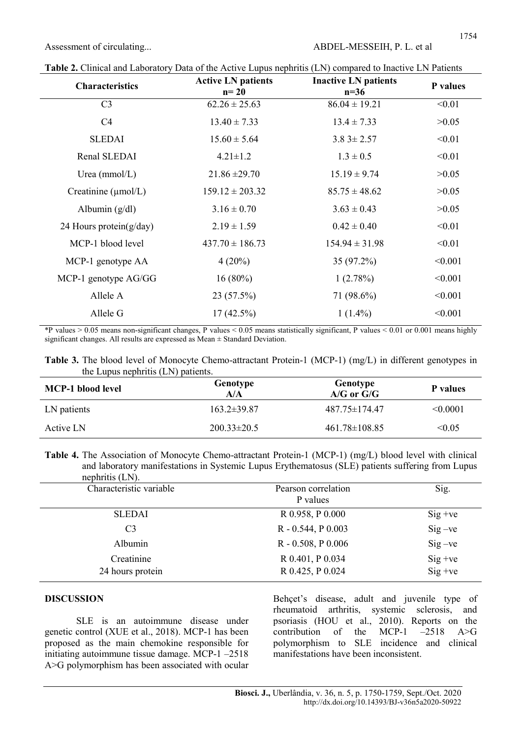| <b>Characteristics</b>          | <b>Active LN patients</b><br>$n=20$ | <b>Inactive LN patients</b><br>$n=36$ | P values |
|---------------------------------|-------------------------------------|---------------------------------------|----------|
| C <sub>3</sub>                  | $62.26 \pm 25.63$                   | $86.04 \pm 19.21$                     | < 0.01   |
| C4                              | $13.40 \pm 7.33$                    | $13.4 \pm 7.33$                       | >0.05    |
| <b>SLEDAI</b>                   | $15.60 \pm 5.64$                    | $3.83 \pm 2.57$                       | < 0.01   |
| Renal SLEDAI                    | $4.21 \pm 1.2$                      | $1.3 \pm 0.5$                         | < 0.01   |
| Urea ( $mmol/L$ )               | $21.86 \pm 29.70$                   | $15.19 \pm 9.74$                      | >0.05    |
| Creatinine $(\mu \text{mol/L})$ | $159.12 \pm 203.32$                 | $85.75 \pm 48.62$                     | >0.05    |
| Albumin $(g/dl)$                | $3.16 \pm 0.70$                     | $3.63 \pm 0.43$                       | >0.05    |
| 24 Hours protein $(g/day)$      | $2.19 \pm 1.59$                     | $0.42 \pm 0.40$                       | < 0.01   |
| MCP-1 blood level               | $437.70 \pm 186.73$                 | $154.94 \pm 31.98$                    | < 0.01   |
| MCP-1 genotype AA               | $4(20\%)$                           | 35 (97.2%)                            | < 0.001  |
| MCP-1 genotype AG/GG            | $16(80\%)$                          | 1(2.78%)                              | < 0.001  |
| Allele A                        | $23(57.5\%)$                        | 71 (98.6%)                            | < 0.001  |
| Allele G                        | $17(42.5\%)$                        | $1(1.4\%)$                            | < 0.001  |

Table 2. Clinical and Laboratory Data of the Active Lupus nephritis (LN) compared to Inactive LN Patients

\*P values > 0.05 means non-significant changes, P values < 0.05 means statistically significant, P values < 0.01 or 0.001 means highly significant changes. All results are expressed as Mean ± Standard Deviation.

Table 3. The blood level of Monocyte Chemo-attractant Protein-1 (MCP-1) (mg/L) in different genotypes in the Lupus nephritis (LN) patients.

| <b>MCP-1</b> blood level | Genotype<br>A/A   | Genotype<br>$A/G$ or $G/G$ | P values      |
|--------------------------|-------------------|----------------------------|---------------|
| LN patients              | $163.2 \pm 39.87$ | 487.75±174.47              | $\leq 0.0001$ |
| Active LN                | $200.33 \pm 20.5$ | $461.78 \pm 108.85$        | < 0.05        |

Table 4. The Association of Monocyte Chemo-attractant Protein-1 (MCP-1) (mg/L) blood level with clinical and laboratory manifestations in Systemic Lupus Erythematosus (SLE) patients suffering from Lupus  $n \geq 1$ .  $(T \times N)$ 

| nephrius (LN).                 |                                      |                          |
|--------------------------------|--------------------------------------|--------------------------|
| Characteristic variable        | Pearson correlation<br>P values      | Sig.                     |
| <b>SLEDAI</b>                  | R 0.958, P 0.000                     | $Sig + ve$               |
| C <sub>3</sub>                 | R - 0.544, P 0.003                   | $Sig - ve$               |
| Albumin                        | $R - 0.508$ , $P 0.006$              | $Sig - ve$               |
| Creatinine<br>24 hours protein | R 0.401, P 0.034<br>R 0.425, P 0.024 | $Sig + ve$<br>$Sig + ve$ |
|                                |                                      |                          |

#### DISCUSSION

SLE is an autoimmune disease under genetic control (XUE et al., 2018). MCP-1 has been proposed as the main chemokine responsible for initiating autoimmune tissue damage. MCP-1 –2518 A>G polymorphism has been associated with ocular Behçet's disease, adult and juvenile type of rheumatoid arthritis, systemic sclerosis, and psoriasis (HOU et al., 2010). Reports on the contribution of the MCP-1  $-2518$  A>G contribution of the MCP-1 –2518  $A > G$ polymorphism to SLE incidence and clinical manifestations have been inconsistent.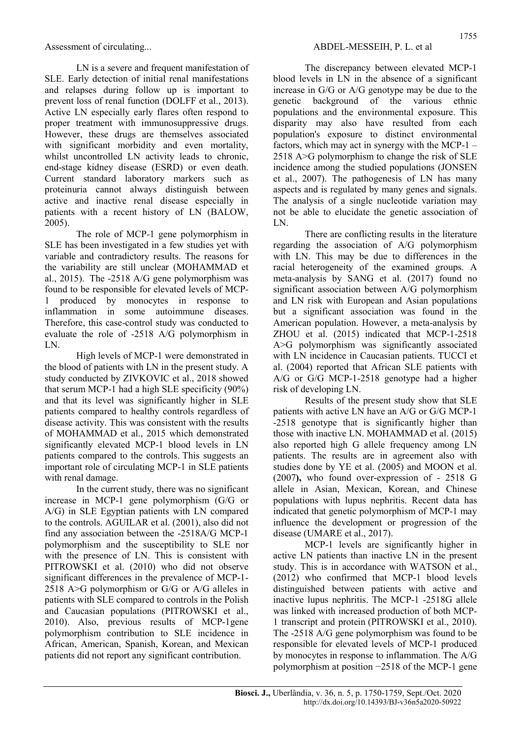LN is a severe and frequent manifestation of SLE. Early detection of initial renal manifestations and relapses during follow up is important to prevent loss of renal function (DOLFF et al., 2013). Active LN especially early flares often respond to proper treatment with immunosuppressive drugs. However, these drugs are themselves associated with significant morbidity and even mortality, whilst uncontrolled LN activity leads to chronic, end-stage kidney disease (ESRD) or even death. Current standard laboratory markers such as proteinuria cannot always distinguish between active and inactive renal disease especially in patients with a recent history of LN (BALOW, 2005).

The role of MCP-1 gene polymorphism in SLE has been investigated in a few studies yet with variable and contradictory results. The reasons for the variability are still unclear (MOHAMMAD et al., 2015). The -2518 A/G gene polymorphism was found to be responsible for elevated levels of MCP-1 produced by monocytes in response to inflammation in some autoimmune diseases. Therefore, this case-control study was conducted to evaluate the role of -2518 A/G polymorphism in LN.

High levels of MCP-1 were demonstrated in the blood of patients with LN in the present study. A study conducted by ZIVKOVIC et al., 2018 showed that serum MCP-1 had a high SLE specificity (90%) and that its level was significantly higher in SLE patients compared to healthy controls regardless of disease activity. This was consistent with the results of MOHAMMAD et al., 2015 which demonstrated significantly elevated MCP-1 blood levels in LN patients compared to the controls. This suggests an important role of circulating MCP-1 in SLE patients with renal damage.

In the current study, there was no significant increase in MCP-1 gene polymorphism (G/G or A/G) in SLE Egyptian patients with LN compared to the controls. AGUILAR et al. (2001), also did not find any association between the -2518A/G MCP-1 polymorphism and the susceptibility to SLE nor with the presence of LN. This is consistent with PITROWSKI et al. (2010) who did not observe significant differences in the prevalence of MCP-1- 2518 A>G polymorphism or G/G or A/G alleles in patients with SLE compared to controls in the Polish and Caucasian populations (PITROWSKI et al., 2010). Also, previous results of MCP-1gene polymorphism contribution to SLE incidence in African, American, Spanish, Korean, and Mexican patients did not report any significant contribution.

The discrepancy between elevated MCP-1 blood levels in LN in the absence of a significant increase in G/G or A/G genotype may be due to the genetic background of the various ethnic populations and the environmental exposure. This disparity may also have resulted from each population's exposure to distinct environmental factors, which may act in synergy with the MCP-1 – 2518 A>G polymorphism to change the risk of SLE incidence among the studied populations (JONSEN et al., 2007). The pathogenesis of LN has many aspects and is regulated by many genes and signals. The analysis of a single nucleotide variation may not be able to elucidate the genetic association of LN.

There are conflicting results in the literature regarding the association of A/G polymorphism with LN. This may be due to differences in the racial heterogeneity of the examined groups. A meta-analysis by SANG et al. (2017) found no significant association between A/G polymorphism and LN risk with European and Asian populations but a significant association was found in the American population. However, a meta-analysis by ZHOU et al. (2015) indicated that MCP-1-2518 A>G polymorphism was significantly associated with LN incidence in Caucasian patients. TUCCI et al. (2004) reported that African SLE patients with A/G or G/G MCP-1-2518 genotype had a higher risk of developing LN.

Results of the present study show that SLE patients with active LN have an A/G or G/G MCP-1 -2518 genotype that is significantly higher than those with inactive LN. MOHAMMAD et al. (2015) also reported high G allele frequency among LN patients. The results are in agreement also with studies done by YE et al. (2005) and MOON et al. (2007), who found over-expression of - 2518 G allele in Asian, Mexican, Korean, and Chinese populations with lupus nephritis. Recent data has indicated that genetic polymorphism of MCP-1 may influence the development or progression of the disease (UMARE et al., 2017).

MCP-1 levels are significantly higher in active LN patients than inactive LN in the present study. This is in accordance with WATSON et al., (2012) who confirmed that MCP-1 blood levels distinguished between patients with active and inactive lupus nephritis. The MCP-1 -2518G allele was linked with increased production of both MCP-1 transcript and protein (PITROWSKI et al., 2010). The -2518 A/G gene polymorphism was found to be responsible for elevated levels of MCP-1 produced by monocytes in response to inflammation. The A/G polymorphism at position −2518 of the MCP‐1 gene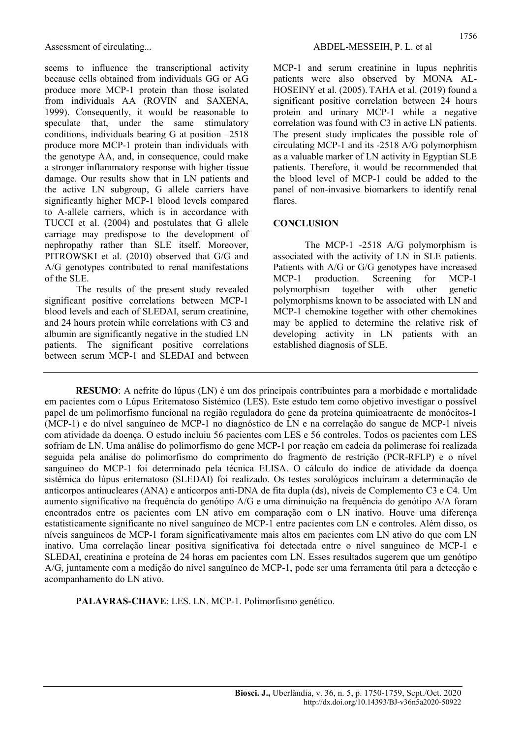seems to influence the transcriptional activity because cells obtained from individuals GG or AG produce more MCP-1 protein than those isolated from individuals AA (ROVIN and SAXENA, 1999). Consequently, it would be reasonable to speculate that, under the same stimulatory conditions, individuals bearing G at position –2518 produce more MCP-1 protein than individuals with the genotype AA, and, in consequence, could make a stronger inflammatory response with higher tissue damage. Our results show that in LN patients and the active LN subgroup, G allele carriers have significantly higher MCP-1 blood levels compared to A-allele carriers, which is in accordance with TUCCI et al. (2004) and postulates that G allele carriage may predispose to the development of nephropathy rather than SLE itself. Moreover, PITROWSKI et al. (2010) observed that G/G and A/G genotypes contributed to renal manifestations of the SLE.

The results of the present study revealed significant positive correlations between MCP-1 blood levels and each of SLEDAI, serum creatinine, and 24 hours protein while correlations with C3 and albumin are significantly negative in the studied LN patients. The significant positive correlations between serum MCP-1 and SLEDAI and between MCP-1 and serum creatinine in lupus nephritis patients were also observed by MONA AL-HOSEINY et al. (2005). TAHA et al. (2019) found a significant positive correlation between 24 hours protein and urinary MCP-1 while a negative correlation was found with C3 in active LN patients. The present study implicates the possible role of circulating MCP-1 and its -2518 A/G polymorphism as a valuable marker of LN activity in Egyptian SLE patients. Therefore, it would be recommended that the blood level of MCP-1 could be added to the panel of non-invasive biomarkers to identify renal flares.

#### **CONCLUSION**

The MCP-1 -2518 A/G polymorphism is associated with the activity of LN in SLE patients. Patients with A/G or G/G genotypes have increased MCP-1 production. Screening for MCP-1 polymorphism together with other genetic polymorphisms known to be associated with LN and MCP-1 chemokine together with other chemokines may be applied to determine the relative risk of developing activity in LN patients with an established diagnosis of SLE.

RESUMO: A nefrite do lúpus (LN) é um dos principais contribuintes para a morbidade e mortalidade em pacientes com o Lúpus Eritematoso Sistémico (LES). Este estudo tem como objetivo investigar o possível papel de um polimorfismo funcional na região reguladora do gene da proteína quimioatraente de monócitos-1 (MCP-1) e do nível sanguíneo de MCP-1 no diagnóstico de LN e na correlação do sangue de MCP-1 níveis com atividade da doença. O estudo incluiu 56 pacientes com LES e 56 controles. Todos os pacientes com LES sofriam de LN. Uma análise do polimorfismo do gene MCP-1 por reação em cadeia da polimerase foi realizada seguida pela análise do polimorfismo do comprimento do fragmento de restrição (PCR-RFLP) e o nível sanguíneo do MCP-1 foi determinado pela técnica ELISA. O cálculo do índice de atividade da doença sistêmica do lúpus eritematoso (SLEDAI) foi realizado. Os testes sorológicos incluíram a determinação de anticorpos antinucleares (ANA) e anticorpos anti-DNA de fita dupla (ds), níveis de Complemento C3 e C4. Um aumento significativo na frequência do genótipo A/G e uma diminuição na frequência do genótipo A/A foram encontrados entre os pacientes com LN ativo em comparação com o LN inativo. Houve uma diferença estatisticamente significante no nível sanguíneo de MCP-1 entre pacientes com LN e controles. Além disso, os níveis sanguíneos de MCP-1 foram significativamente mais altos em pacientes com LN ativo do que com LN inativo. Uma correlação linear positiva significativa foi detectada entre o nível sanguíneo de MCP-1 e SLEDAI, creatinina e proteína de 24 horas em pacientes com LN. Esses resultados sugerem que um genótipo A/G, juntamente com a medição do nível sanguíneo de MCP-1, pode ser uma ferramenta útil para a detecção e acompanhamento do LN ativo.

PALAVRAS-CHAVE: LES. LN. MCP-1. Polimorfismo genético.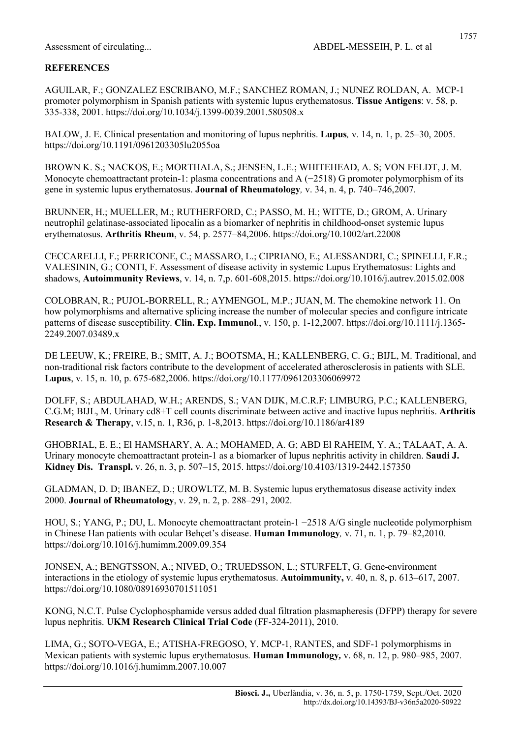AGUILAR, F.; GONZALEZ ESCRIBANO, M.F.; SANCHEZ ROMAN, J.; NUNEZ ROLDAN, A. MCP-1 promoter polymorphism in Spanish patients with systemic lupus erythematosus. Tissue Antigens: v. 58, p. 335-338, 2001. https://doi.org/10.1034/j.1399-0039.2001.580508.x

BALOW, J. E. Clinical presentation and monitoring of lupus nephritis. Lupus, v. 14, n. 1, p. 25–30, 2005. https://doi.org/10.1191/0961203305lu2055oa

BROWN K. S.; NACKOS, E.; MORTHALA, S.; JENSEN, L.E.; WHITEHEAD, A. S; VON FELDT, J. M. Monocyte chemoattractant protein-1: plasma concentrations and A (−2518) G promoter polymorphism of its gene in systemic lupus erythematosus. Journal of Rheumatology, v. 34, n. 4, p. 740–746,2007.

BRUNNER, H.; MUELLER, M.; RUTHERFORD, C.; PASSO, M. H.; WITTE, D.; GROM, A. Urinary neutrophil gelatinase-associated lipocalin as a biomarker of nephritis in childhood-onset systemic lupus erythematosus. Arthritis Rheum, v. 54, p. 2577–84,2006. https://doi.org/10.1002/art.22008

CECCARELLI, F.; PERRICONE, C.; MASSARO, L.; CIPRIANO, E.; ALESSANDRI, C.; SPINELLI, F.R.; VALESININ, G.; CONTI, F. Assessment of disease activity in systemic Lupus Erythematosus: Lights and shadows, Autoimmunity Reviews, v. 14, n. 7,p. 601-608,2015. https://doi.org/10.1016/j.autrev.2015.02.008

COLOBRAN, R.; PUJOL-BORRELL, R.; AYMENGOL, M.P.; JUAN, M. The chemokine network 11. On how polymorphisms and alternative splicing increase the number of molecular species and configure intricate patterns of disease susceptibility. Clin. Exp. Immunol., v. 150, p. 1-12,2007. https://doi.org/10.1111/j.1365- 2249.2007.03489.x

DE LEEUW, K.; FREIRE, B.; SMIT, A. J.; BOOTSMA, H.; KALLENBERG, C. G.; BIJL, M. Traditional, and non-traditional risk factors contribute to the development of accelerated atherosclerosis in patients with SLE. Lupus, v. 15, n. 10, p. 675-682,2006. https://doi.org/10.1177/0961203306069972

DOLFF, S.; ABDULAHAD, W.H.; ARENDS, S.; VAN DIJK, M.C.R.F; LIMBURG, P.C.; KALLENBERG, C.G.M; BIJL, M. Urinary cd8+T cell counts discriminate between active and inactive lupus nephritis. Arthritis Research & Therapy, v.15, n. 1, R36, p. 1-8,2013. https://doi.org/10.1186/ar4189

GHOBRIAL, E. E.; El HAMSHARY, A. A.; MOHAMED, A. G; ABD El RAHEIM, Y. A.; TALAAT, A. A. Urinary monocyte chemoattractant protein-1 as a biomarker of lupus nephritis activity in children. Saudi J. Kidney Dis. Transpl. v. 26, n. 3, p. 507–15, 2015. https://doi.org/10.4103/1319-2442.157350

GLADMAN, D. D; IBANEZ, D.; UROWLTZ, M. B. Systemic lupus erythematosus disease activity index 2000. Journal of Rheumatology, v. 29, n. 2, p. 288–291, 2002.

HOU, S.; YANG, P.; DU, L. Monocyte chemoattractant protein-1 −2518 A/G single nucleotide polymorphism in Chinese Han patients with ocular Behçet's disease. Human Immunology, v. 71, n. 1, p. 79–82,2010. https://doi.org/10.1016/j.humimm.2009.09.354

JONSEN, A.; BENGTSSON, A.; NIVED, O.; TRUEDSSON, L.; STURFELT, G. Gene-environment interactions in the etiology of systemic lupus erythematosus. Autoimmunity, v. 40, n. 8, p. 613–617, 2007. https://doi.org/10.1080/08916930701511051

KONG, N.C.T. Pulse Cyclophosphamide versus added dual filtration plasmapheresis (DFPP) therapy for severe lupus nephritis. UKM Research Clinical Trial Code (FF-324-2011), 2010.

LIMA, G.; SOTO-VEGA, E.; ATISHA-FREGOSO, Y. MCP-1, RANTES, and SDF-1 polymorphisms in Mexican patients with systemic lupus erythematosus. Human Immunology, v. 68, n. 12, p. 980–985, 2007. https://doi.org/10.1016/j.humimm.2007.10.007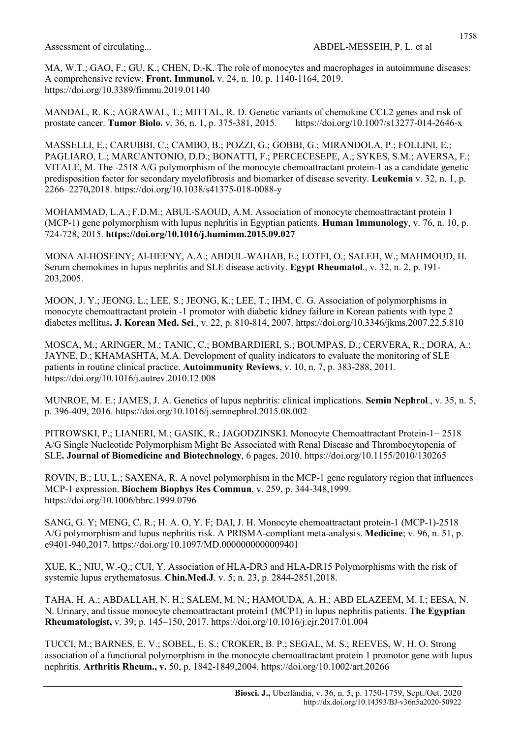MA, W.T.; GAO, F.; GU, K.; CHEN, D.-K. The role of monocytes and macrophages in autoimmune diseases: A comprehensive review. Front. Immunol. v. 24, n. 10, p. 1140-1164, 2019. https://doi.org/10.3389/fimmu.2019.01140

MANDAL, R. K.; AGRAWAL, T.; MITTAL, R. D. Genetic variants of chemokine CCL2 genes and risk of prostate cancer. Tumor Biolo. v. 36, n. 1, p. 375-381, 2015. https://doi.org/10.1007/s13277-014-2646-x

MASSELLI, E.; CARUBBI, C.; CAMBO, B.; POZZI, G.; GOBBI, G.; MIRANDOLA, P.; FOLLINI, E.; PAGLIARO, L.; MARCANTONIO, D.D.; BONATTI, F.; PERCECESEPE, A.; SYKES, S.M.; AVERSA, F.; VITALE, M. The -2518 A/G polymorphism of the monocyte chemoattractant protein-1 as a candidate genetic predisposition factor for secondary myelofibrosis and biomarker of disease severity. Leukemia v. 32, n. 1, p. 2266–2270,2018. https://doi.org/10.1038/s41375-018-0088-y

MOHAMMAD, L.A.; F.D.M.; ABUL-SAOUD, A.M. Association of monocyte chemoattractant protein 1 (MCP-1) gene polymorphism with lupus nephritis in Egyptian patients. Human Immunology, v. 76, n. 10, p. 724-728, 2015. https://doi.org/10.1016/j.humimm.2015.09.027

MONA Al-HOSEINY; Al-HEFNY, A.A.; ABDUL-WAHAB, E.; LOTFI, O.; SALEH, W.; MAHMOUD, H. Serum chemokines in lupus nephritis and SLE disease activity. Egypt Rheumatol., v. 32, n. 2, p. 191- 203,2005.

MOON, J. Y.; JEONG, L.; LEE, S.; JEONG, K.; LEE, T.; IHM, C. G. Association of polymorphisms in monocyte chemoattractant protein -1 promotor with diabetic kidney failure in Korean patients with type 2 diabetes mellitus. J. Korean Med. Sci., v. 22, p. 810-814, 2007. https://doi.org/10.3346/jkms.2007.22.5.810

MOSCA, M.; ARINGER, M.; TANIC, C.; BOMBARDIERI, S.; BOUMPAS, D.; CERVERA, R.; DORA, A.; JAYNE, D.; KHAMASHTA, M.A. Development of quality indicators to evaluate the monitoring of SLE patients in routine clinical practice. Autoimmunity Reviews, v. 10, n. 7, p. 383-288, 2011. https://doi.org/10.1016/j.autrev.2010.12.008

MUNROE, M. E.; JAMES, J. A. Genetics of lupus nephritis: clinical implications. Semin Nephrol., v. 35, n. 5, p. 396-409, 2016. https://doi.org/10.1016/j.semnephrol.2015.08.002

PITROWSKI, P.; LIANERI, M.; GASIK, R.; JAGODZINSKI. Monocyte Chemoattractant Protein-1− 2518 A/G Single Nucleotide Polymorphism Might Be Associated with Renal Disease and Thrombocytopenia of SLE. Journal of Biomedicine and Biotechnology, 6 pages, 2010. https://doi.org/10.1155/2010/130265

ROVIN, B.; LU, L.; SAXENA, R. A novel polymorphism in the MCP-1 gene regulatory region that influences MCP-1 expression. Biochem Biophys Res Commun, v. 259, p. 344-348,1999. https://doi.org/10.1006/bbrc.1999.0796

SANG, G. Y; MENG, C. R.; H. A. O, Y. F; DAI, J. H. Monocyte chemoattractant protein-1 (MCP-1)-2518 A/G polymorphism and lupus nephritis risk. A PRISMA-compliant meta-analysis. Medicine; v. 96, n. 51, p. e9401-940,2017. https://doi.org/10.1097/MD.0000000000009401

XUE, K.; NIU, W.-Q.; CUI, Y. Association of HLA-DR3 and HLA-DR15 Polymorphisms with the risk of systemic lupus erythematosus. Chin.Med.J. v. 5; n. 23, p. 2844-2851,2018.

TAHA, H. A.; ABDALLAH, N. H.; SALEM, M. N.; HAMOUDA, A. H.; ABD ELAZEEM, M. I.; EESA, N. N. Urinary, and tissue monocyte chemoattractant protein1 (MCP1) in lupus nephritis patients. The Egyptian Rheumatologist, v. 39; p. 145–150, 2017. https://doi.org/10.1016/j.ejr.2017.01.004

TUCCI, M.; BARNES, E. V.; SOBEL, E. S.; CROKER, B. P.; SEGAL, M. S.; REEVES, W. H. O. Strong association of a functional polymorphism in the monocyte chemoattractant protein 1 promotor gene with lupus nephritis. Arthritis Rheum., v. 50, p. 1842-1849,2004. https://doi.org/10.1002/art.20266